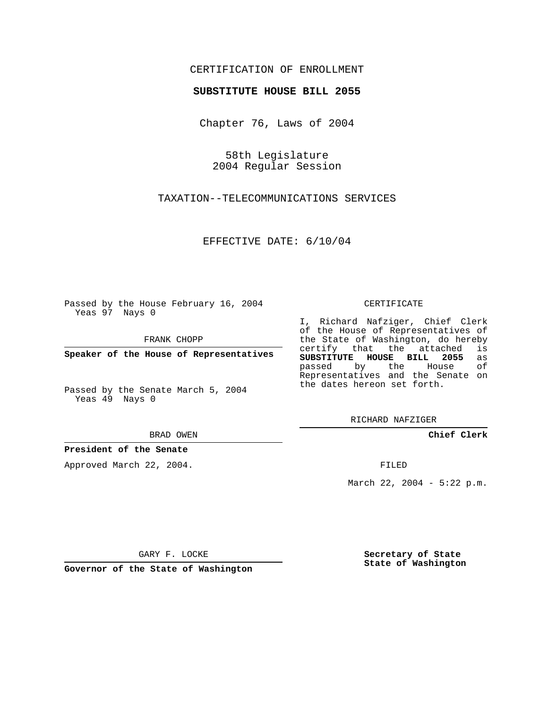## CERTIFICATION OF ENROLLMENT

### **SUBSTITUTE HOUSE BILL 2055**

Chapter 76, Laws of 2004

58th Legislature 2004 Regular Session

TAXATION--TELECOMMUNICATIONS SERVICES

EFFECTIVE DATE: 6/10/04

Passed by the House February 16, 2004 Yeas 97 Nays 0

FRANK CHOPP

**Speaker of the House of Representatives**

Passed by the Senate March 5, 2004 Yeas 49 Nays 0

#### BRAD OWEN

### **President of the Senate**

Approved March 22, 2004.

#### CERTIFICATE

I, Richard Nafziger, Chief Clerk of the House of Representatives of the State of Washington, do hereby<br>certify that the attached is certify that the attached **SUBSTITUTE HOUSE BILL 2055** as passed by the Representatives and the Senate on the dates hereon set forth.

RICHARD NAFZIGER

**Chief Clerk**

FILED

March 22, 2004 - 5:22 p.m.

GARY F. LOCKE

**Governor of the State of Washington**

**Secretary of State State of Washington**